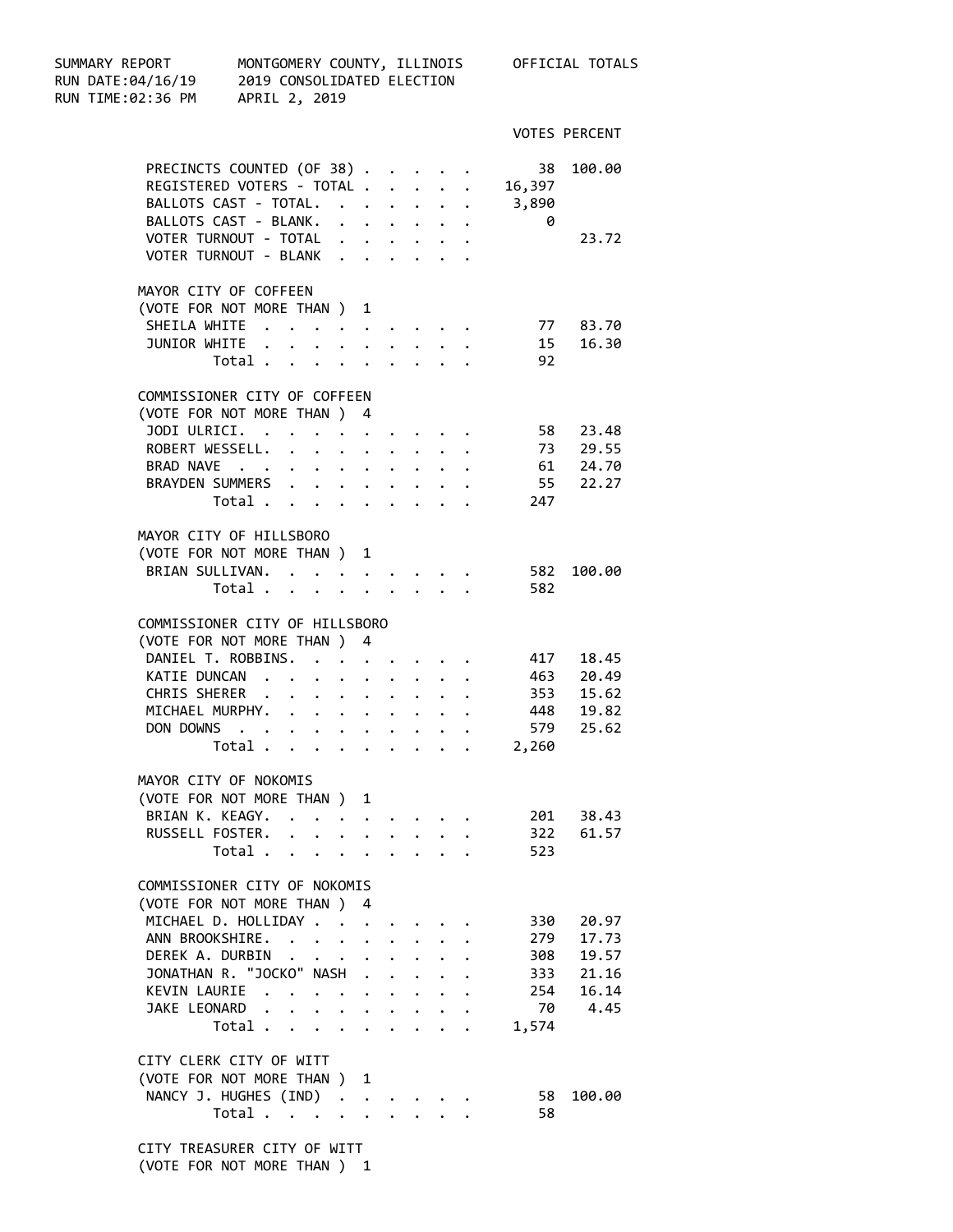| SUMMARY REPORT<br>RUN DATE:04/16/19 2019 CONSOLIDATED ELECTION<br>RUN TIME:02:36 PM | MONTGOMERY COUNTY, ILLINOIS<br>APRIL 2, 2019 |                                                                                                                                                                                                                                            |                      |                      |                               |                      |                                        |           | OFFICIAL TOTALS                  |
|-------------------------------------------------------------------------------------|----------------------------------------------|--------------------------------------------------------------------------------------------------------------------------------------------------------------------------------------------------------------------------------------------|----------------------|----------------------|-------------------------------|----------------------|----------------------------------------|-----------|----------------------------------|
|                                                                                     |                                              |                                                                                                                                                                                                                                            |                      |                      |                               |                      |                                        |           | <b>VOTES PERCENT</b>             |
| PRECINCTS COUNTED (OF 38)                                                           |                                              |                                                                                                                                                                                                                                            |                      |                      |                               |                      |                                        | 38        | 100.00                           |
| REGISTERED VOTERS - TOTAL                                                           |                                              |                                                                                                                                                                                                                                            |                      |                      |                               |                      |                                        | 16,397    |                                  |
| BALLOTS CAST - TOTAL.                                                               |                                              |                                                                                                                                                                                                                                            |                      |                      |                               | $\ddot{\phantom{0}}$ |                                        | 3,890     |                                  |
| BALLOTS CAST - BLANK.                                                               |                                              |                                                                                                                                                                                                                                            |                      |                      |                               |                      |                                        | 0         |                                  |
| VOTER TURNOUT - TOTAL                                                               |                                              |                                                                                                                                                                                                                                            |                      |                      |                               |                      |                                        |           | 23.72                            |
| VOTER TURNOUT - BLANK                                                               |                                              |                                                                                                                                                                                                                                            |                      |                      |                               |                      |                                        |           |                                  |
| MAYOR CITY OF COFFEEN                                                               |                                              |                                                                                                                                                                                                                                            |                      |                      |                               |                      |                                        |           |                                  |
| (VOTE FOR NOT MORE THAN ) 1                                                         |                                              |                                                                                                                                                                                                                                            |                      |                      |                               |                      |                                        |           |                                  |
| SHEILA WHITE                                                                        |                                              |                                                                                                                                                                                                                                            |                      |                      |                               |                      |                                        | 15        | 77 83.70                         |
| JUNIOR WHITE                                                                        | $\mathbf{L}$                                 | $\ddot{\phantom{a}}$                                                                                                                                                                                                                       | $\ddot{\phantom{1}}$ |                      | $\ddot{\phantom{a}}$          |                      |                                        |           | 16.30                            |
|                                                                                     | Total                                        |                                                                                                                                                                                                                                            |                      |                      |                               |                      | $\mathbf{1}$ $\mathbf{1}$ $\mathbf{1}$ | 92        |                                  |
| COMMISSIONER CITY OF COFFEEN                                                        |                                              |                                                                                                                                                                                                                                            |                      |                      |                               |                      |                                        |           |                                  |
| (VOTE FOR NOT MORE THAN ) 4                                                         |                                              |                                                                                                                                                                                                                                            |                      |                      |                               |                      |                                        |           |                                  |
| JODI ULRICI.                                                                        | $\sim$ $\sim$                                | $\bullet$<br>. The contract of the contract of the contract of the contract of the contract of the contract of the contract of the contract of the contract of the contract of the contract of the contract of the contract of the contrac |                      |                      |                               |                      |                                        | 58        | 23.48                            |
| ROBERT WESSELL.                                                                     |                                              |                                                                                                                                                                                                                                            |                      |                      |                               |                      |                                        |           | 73 29.55<br>61 24.70<br>55 22.27 |
| BRAD NAVE<br>BRAYDEN SUMMERS                                                        |                                              |                                                                                                                                                                                                                                            |                      |                      |                               |                      |                                        |           |                                  |
|                                                                                     | Total                                        |                                                                                                                                                                                                                                            |                      |                      |                               |                      |                                        | 247       |                                  |
|                                                                                     |                                              |                                                                                                                                                                                                                                            |                      |                      |                               |                      |                                        |           |                                  |
| MAYOR CITY OF HILLSBORO                                                             |                                              |                                                                                                                                                                                                                                            |                      |                      |                               |                      |                                        |           |                                  |
| (VOTE FOR NOT MORE THAN ) 1                                                         |                                              |                                                                                                                                                                                                                                            |                      |                      |                               |                      |                                        |           |                                  |
| BRIAN SULLIVAN.                                                                     |                                              |                                                                                                                                                                                                                                            |                      |                      |                               |                      |                                        | 582       | 100.00                           |
|                                                                                     | Total                                        |                                                                                                                                                                                                                                            |                      |                      |                               |                      |                                        | 582       |                                  |
| COMMISSIONER CITY OF HILLSBORO                                                      |                                              |                                                                                                                                                                                                                                            |                      |                      |                               |                      |                                        |           |                                  |
| (VOTE FOR NOT MORE THAN ) 4                                                         |                                              |                                                                                                                                                                                                                                            |                      |                      |                               |                      |                                        |           |                                  |
| DANIEL T. ROBBINS.                                                                  |                                              | $\mathcal{A}$ , and $\mathcal{A}$ , and $\mathcal{A}$ , and $\mathcal{A}$                                                                                                                                                                  |                      |                      |                               |                      |                                        | 417       | 18.45                            |
| KATIE DUNCAN                                                                        |                                              |                                                                                                                                                                                                                                            |                      |                      |                               |                      |                                        | 463       | 20.49                            |
| CHRIS SHERER                                                                        |                                              |                                                                                                                                                                                                                                            |                      |                      |                               |                      |                                        |           | 353 15.62                        |
| MICHAEL MURPHY.                                                                     |                                              |                                                                                                                                                                                                                                            |                      |                      |                               |                      |                                        |           | 448 19.82                        |
| DON DOWNS                                                                           |                                              |                                                                                                                                                                                                                                            |                      |                      |                               |                      |                                        | 579       | 25.62                            |
|                                                                                     | Total.                                       | $\mathcal{A}^{\mathcal{A}}$ , and $\mathcal{A}^{\mathcal{A}}$ , and $\mathcal{A}^{\mathcal{A}}$ , and $\mathcal{A}^{\mathcal{A}}$                                                                                                          |                      |                      |                               |                      |                                        | 2,260     |                                  |
|                                                                                     |                                              |                                                                                                                                                                                                                                            |                      |                      |                               |                      |                                        |           |                                  |
| MAYOR CITY OF NOKOMIS<br>(VOTE FOR NOT MORE THAN ) 1                                |                                              |                                                                                                                                                                                                                                            |                      |                      |                               |                      |                                        |           |                                  |
| BRIAN K. KEAGY.                                                                     |                                              |                                                                                                                                                                                                                                            |                      |                      |                               |                      |                                        | 201 38.43 |                                  |
| RUSSELL FOSTER.                                                                     |                                              |                                                                                                                                                                                                                                            |                      |                      |                               |                      |                                        | 322       | 61.57                            |
|                                                                                     | Total                                        |                                                                                                                                                                                                                                            |                      |                      |                               |                      |                                        | 523       |                                  |
|                                                                                     |                                              |                                                                                                                                                                                                                                            |                      |                      |                               |                      |                                        |           |                                  |
| COMMISSIONER CITY OF NOKOMIS                                                        |                                              |                                                                                                                                                                                                                                            |                      |                      |                               |                      |                                        |           |                                  |
| (VOTE FOR NOT MORE THAN ) 4                                                         |                                              |                                                                                                                                                                                                                                            |                      |                      |                               |                      |                                        |           |                                  |
| MICHAEL D. HOLLIDAY                                                                 |                                              |                                                                                                                                                                                                                                            |                      | $\mathbf{L}$         |                               |                      |                                        | 330       | 20.97                            |
| ANN BROOKSHIRE.                                                                     |                                              |                                                                                                                                                                                                                                            |                      |                      | $\mathbf{L}$ and $\mathbf{L}$ |                      |                                        | 279       | 17.73                            |
| DEREK A. DURBIN                                                                     |                                              |                                                                                                                                                                                                                                            |                      |                      |                               |                      |                                        |           | 308 19.57                        |
| JONATHAN R. "JOCKO" NASH                                                            |                                              |                                                                                                                                                                                                                                            |                      | $\ddot{\phantom{a}}$ |                               |                      |                                        |           | 333 21.16                        |
| KEVIN LAURIE                                                                        |                                              |                                                                                                                                                                                                                                            |                      |                      |                               |                      |                                        |           | 254 16.14                        |
| JAKE LEONARD                                                                        | Total                                        |                                                                                                                                                                                                                                            |                      |                      |                               |                      |                                        | 1,574     | 70 4.45                          |
|                                                                                     |                                              |                                                                                                                                                                                                                                            |                      |                      |                               |                      |                                        |           |                                  |
| CITY CLERK CITY OF WITT                                                             |                                              |                                                                                                                                                                                                                                            |                      |                      |                               |                      |                                        |           |                                  |
| (VOTE FOR NOT MORE THAN ) 1                                                         |                                              |                                                                                                                                                                                                                                            |                      |                      |                               |                      |                                        |           |                                  |
| NANCY J. HUGHES (IND)                                                               |                                              |                                                                                                                                                                                                                                            |                      |                      |                               |                      |                                        | 58        | 100.00                           |
|                                                                                     | Total                                        |                                                                                                                                                                                                                                            |                      |                      |                               |                      |                                        | 58        |                                  |
| CITY TREASURER CITY OF WITT                                                         |                                              |                                                                                                                                                                                                                                            |                      |                      |                               |                      |                                        |           |                                  |
|                                                                                     |                                              |                                                                                                                                                                                                                                            |                      |                      |                               |                      |                                        |           |                                  |

(VOTE FOR NOT MORE THAN ) 1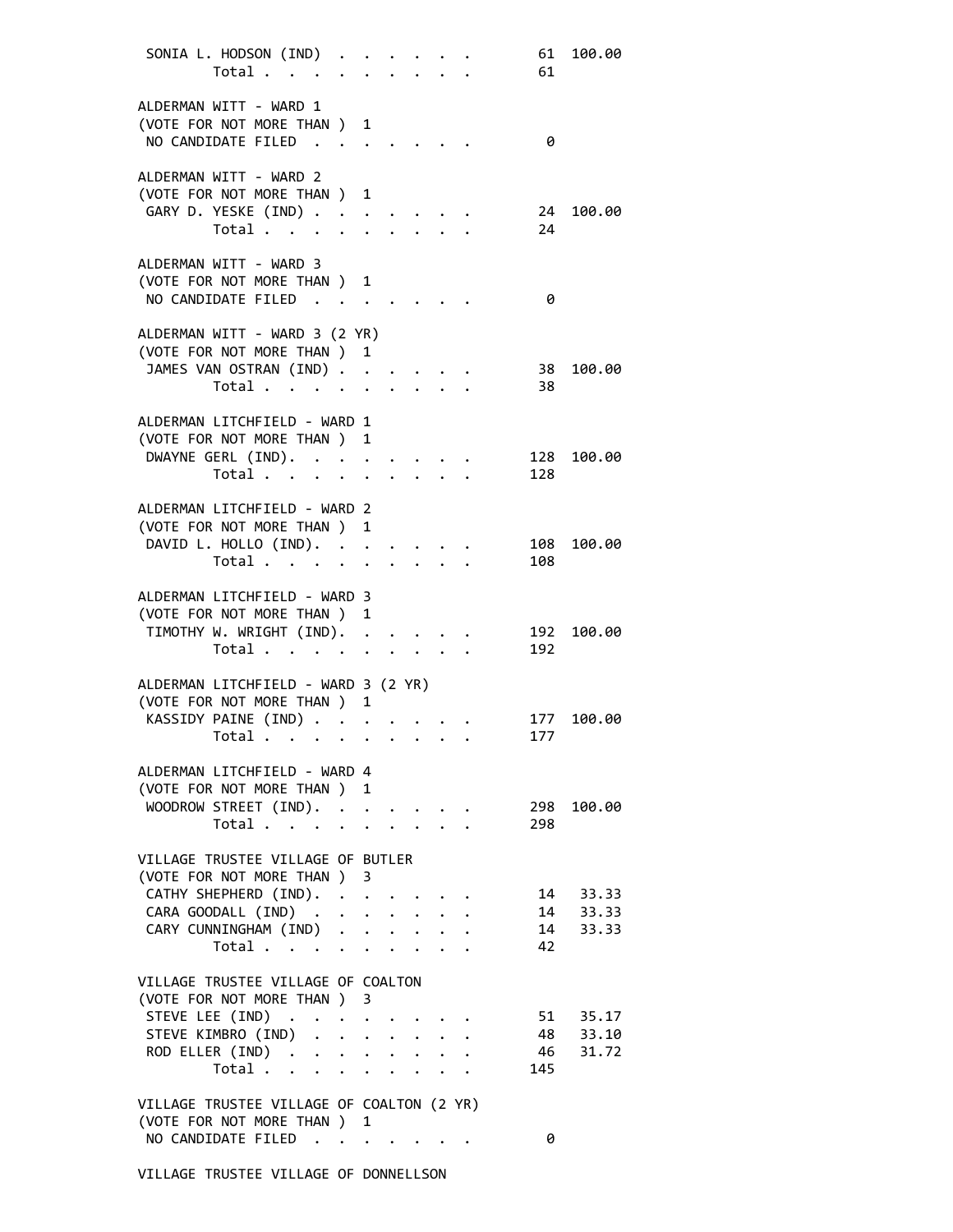| SONIA L. HODSON (IND)<br>Total                                                                                                         |                      |              |  |                                            | 61<br>61   | 100.00                           |
|----------------------------------------------------------------------------------------------------------------------------------------|----------------------|--------------|--|--------------------------------------------|------------|----------------------------------|
| ALDERMAN WITT - WARD 1<br>(VOTE FOR NOT MORE THAN ) 1<br>NO CANDIDATE FILED                                                            |                      |              |  |                                            | 0          |                                  |
| ALDERMAN WITT - WARD 2<br>(VOTE FOR NOT MORE THAN ) 1<br>GARY D. YESKE (IND)<br>Total                                                  |                      |              |  |                                            | 24<br>24   | 100.00                           |
| ALDERMAN WITT - WARD 3<br>(VOTE FOR NOT MORE THAN ) 1<br>NO CANDIDATE FILED                                                            |                      |              |  |                                            | 0          |                                  |
| ALDERMAN WITT - WARD 3 (2 YR)<br>(VOTE FOR NOT MORE THAN ) 1<br>JAMES VAN OSTRAN (IND)<br>Total                                        | $\ddot{\phantom{0}}$ |              |  |                                            | 38<br>38   | 100.00                           |
| ALDERMAN LITCHFIELD - WARD 1<br>(VOTE FOR NOT MORE THAN ) 1<br>DWAYNE GERL (IND).<br>Total                                             |                      |              |  |                                            | 128<br>128 | 100.00                           |
| ALDERMAN LITCHFIELD - WARD 2<br>(VOTE FOR NOT MORE THAN ) 1<br>DAVID L. HOLLO (IND).<br>Total                                          |                      |              |  |                                            | 108<br>108 | 100.00                           |
| ALDERMAN LITCHFIELD - WARD 3<br>(VOTE FOR NOT MORE THAN )<br>TIMOTHY W. WRIGHT (IND).<br>Total                                         | 1                    |              |  |                                            | 192<br>192 | 100.00                           |
| ALDERMAN LITCHFIELD - WARD 3 (2 YR)<br>(VOTE FOR NOT MORE THAN ) 1<br>KASSIDY PAINE (IND)                                              |                      |              |  |                                            | 177        | 100.00                           |
| Total $\cdots$<br>ALDERMAN LITCHFIELD - WARD 4<br>(VOTE FOR NOT MORE THAN ) 1<br>WOODROW STREET (IND).                                 |                      |              |  |                                            | 177<br>298 | 100.00                           |
| Total<br>VILLAGE TRUSTEE VILLAGE OF BUTLER<br>(VOTE FOR NOT MORE THAN ) 3                                                              | $\ddot{\phantom{0}}$ |              |  | $\mathbf{r} = \mathbf{r} \cdot \mathbf{r}$ | 298        |                                  |
| CATHY SHEPHERD (IND).<br>CARA GOODALL (IND)<br>CARY CUNNINGHAM (IND) .<br>Total                                                        | $\mathbf{L}$         | $\mathbf{L}$ |  |                                            | 42         | 14 33.33<br>14 33.33<br>14 33.33 |
| VILLAGE TRUSTEE VILLAGE OF COALTON<br>(VOTE FOR NOT MORE THAN ) 3<br>STEVE LEE (IND)<br>STEVE KIMBRO (IND)<br>ROD ELLER (IND)<br>Total |                      |              |  |                                            | 145        | 51 35.17<br>48 33.10<br>46 31.72 |
| VILLAGE TRUSTEE VILLAGE OF COALTON (2 YR)<br>(VOTE FOR NOT MORE THAN ) 1<br>NO CANDIDATE FILED                                         |                      |              |  |                                            | 0          |                                  |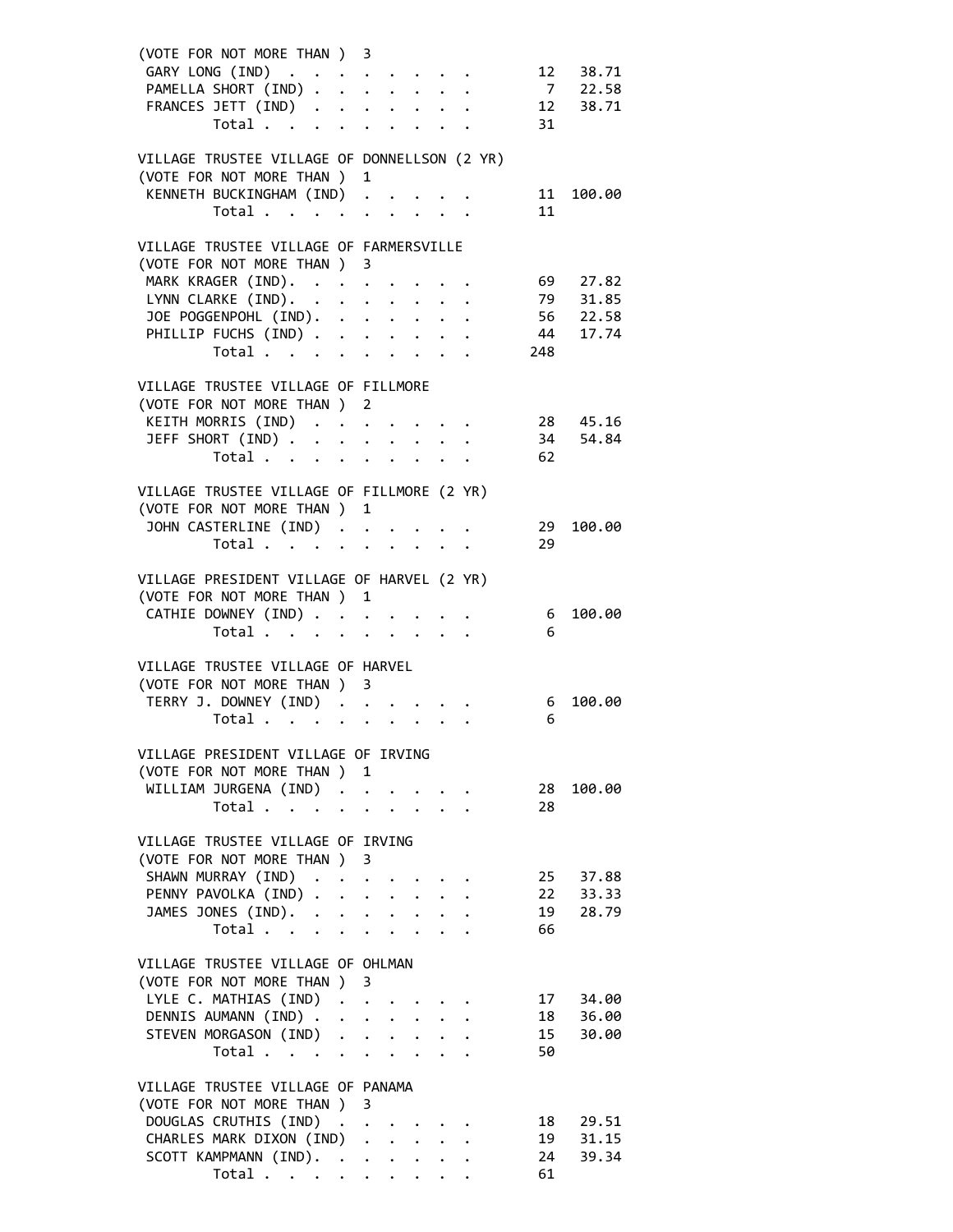| (VOTE FOR NOT MORE THAN ) 3                                                            |  |   |  |  |     |                      |
|----------------------------------------------------------------------------------------|--|---|--|--|-----|----------------------|
|                                                                                        |  |   |  |  |     |                      |
| GARY LONG (IND) 12 38.71<br>PAMELLA SHORT (IND) 7 22.58<br>FRANCES JETT (IND) 12 38.71 |  |   |  |  |     |                      |
|                                                                                        |  |   |  |  |     |                      |
| Total $\cdots$ $\cdots$ $\cdots$                                                       |  |   |  |  | 31  |                      |
|                                                                                        |  |   |  |  |     |                      |
| VILLAGE TRUSTEE VILLAGE OF DONNELLSON (2 YR)                                           |  |   |  |  |     |                      |
| (VOTE FOR NOT MORE THAN )                                                              |  | 1 |  |  |     |                      |
| KENNETH BUCKINGHAM (IND)                                                               |  |   |  |  |     | 11 100.00            |
| Total $\cdots$ $\cdots$ $\cdots$                                                       |  |   |  |  | 11  |                      |
|                                                                                        |  |   |  |  |     |                      |
| VILLAGE TRUSTEE VILLAGE OF FARMERSVILLE                                                |  |   |  |  |     |                      |
| (VOTE FOR NOT MORE THAN ) 3                                                            |  |   |  |  |     |                      |
| MARK KRAGER (IND). 69 27.82                                                            |  |   |  |  |     |                      |
|                                                                                        |  |   |  |  |     |                      |
| LYNN CLARKE (IND).                                                                     |  |   |  |  |     | 79 31.85             |
| JOE POGGENPOHL (IND).                                                                  |  |   |  |  |     | 56 22.58             |
| PHILLIP FUCHS (IND)                                                                    |  |   |  |  |     | 44 17.74             |
| Total                                                                                  |  |   |  |  | 248 |                      |
|                                                                                        |  |   |  |  |     |                      |
| VILLAGE TRUSTEE VILLAGE OF FILLMORE                                                    |  |   |  |  |     |                      |
| (VOTE FOR NOT MORE THAN ) 2                                                            |  |   |  |  |     |                      |
| KEITH MORRIS (IND) 28 45.16                                                            |  |   |  |  |     |                      |
| JEFF SHORT (IND) 34 54.84                                                              |  |   |  |  |     |                      |
| Total 62                                                                               |  |   |  |  |     |                      |
|                                                                                        |  |   |  |  |     |                      |
| VILLAGE TRUSTEE VILLAGE OF FILLMORE (2 YR)                                             |  |   |  |  |     |                      |
| (VOTE FOR NOT MORE THAN ) 1                                                            |  |   |  |  |     |                      |
| JOHN CASTERLINE (IND)                                                                  |  |   |  |  | 29  | 100.00               |
| Total                                                                                  |  |   |  |  | 29  |                      |
|                                                                                        |  |   |  |  |     |                      |
|                                                                                        |  |   |  |  |     |                      |
| VILLAGE PRESIDENT VILLAGE OF HARVEL (2 YR)                                             |  |   |  |  |     |                      |
| (VOTE FOR NOT MORE THAN ) 1                                                            |  |   |  |  |     |                      |
| CATHIE DOWNEY (IND)                                                                    |  |   |  |  | 6   | 100.00               |
| Total $\cdots$ $\cdots$ $\cdots$                                                       |  |   |  |  | 6   |                      |
|                                                                                        |  |   |  |  |     |                      |
| VILLAGE TRUSTEE VILLAGE OF HARVEL                                                      |  |   |  |  |     |                      |
| (VOTE FOR NOT MORE THAN ) 3                                                            |  |   |  |  |     |                      |
| TERRY J. DOWNEY (IND)                                                                  |  |   |  |  | 6   | 100.00               |
| Total $\ldots$ $\ldots$ $\ldots$ $\ldots$                                              |  |   |  |  | 6   |                      |
|                                                                                        |  |   |  |  |     |                      |
| VILLAGE PRESIDENT VILLAGE OF IRVING                                                    |  |   |  |  |     |                      |
| (VOTE FOR NOT MORE THAN ) 1                                                            |  |   |  |  |     |                      |
| WILLIAM JURGENA (IND)                                                                  |  |   |  |  | 28  | 100.00               |
| Total $\cdots$ $\cdots$ $\cdots$ $\cdots$                                              |  |   |  |  | 28  |                      |
|                                                                                        |  |   |  |  |     |                      |
| VILLAGE TRUSTEE VILLAGE OF IRVING                                                      |  |   |  |  |     |                      |
| (VOTE FOR NOT MORE THAN ) 3                                                            |  |   |  |  |     |                      |
| SHAWN MURRAY (IND)                                                                     |  |   |  |  |     | 25 37.88             |
| PENNY PAVOLKA (IND)                                                                    |  |   |  |  |     |                      |
| JAMES JONES (IND).                                                                     |  |   |  |  |     | 22 33.33<br>19 28.79 |
| Total $\cdots$ $\cdots$ $\cdots$ $\cdots$                                              |  |   |  |  | 66  |                      |
|                                                                                        |  |   |  |  |     |                      |
|                                                                                        |  |   |  |  |     |                      |
| VILLAGE TRUSTEE VILLAGE OF OHLMAN                                                      |  |   |  |  |     |                      |
| (VOTE FOR NOT MORE THAN ) 3                                                            |  |   |  |  |     |                      |
| LYLE C. MATHIAS (IND)                                                                  |  |   |  |  |     | 17 34.00             |
| DENNIS AUMANN (IND)                                                                    |  |   |  |  |     | 18 36.00             |
| STEVEN MORGASON (IND)                                                                  |  |   |  |  | 15  | 30.00                |
| Total                                                                                  |  |   |  |  | 50  |                      |
|                                                                                        |  |   |  |  |     |                      |
| VILLAGE TRUSTEE VILLAGE OF PANAMA                                                      |  |   |  |  |     |                      |
| (VOTE FOR NOT MORE THAN ) 3                                                            |  |   |  |  |     |                      |
| DOUGLAS CRUTHIS (IND)                                                                  |  |   |  |  | 18  | 29.51                |
| CHARLES MARK DIXON (IND)                                                               |  |   |  |  |     | 19 31.15             |
| SCOTT KAMPMANN (IND).                                                                  |  |   |  |  | 24  | 39.34                |
| Total $\cdots$ $\cdots$ $\cdots$ $\cdots$                                              |  |   |  |  | 61  |                      |
|                                                                                        |  |   |  |  |     |                      |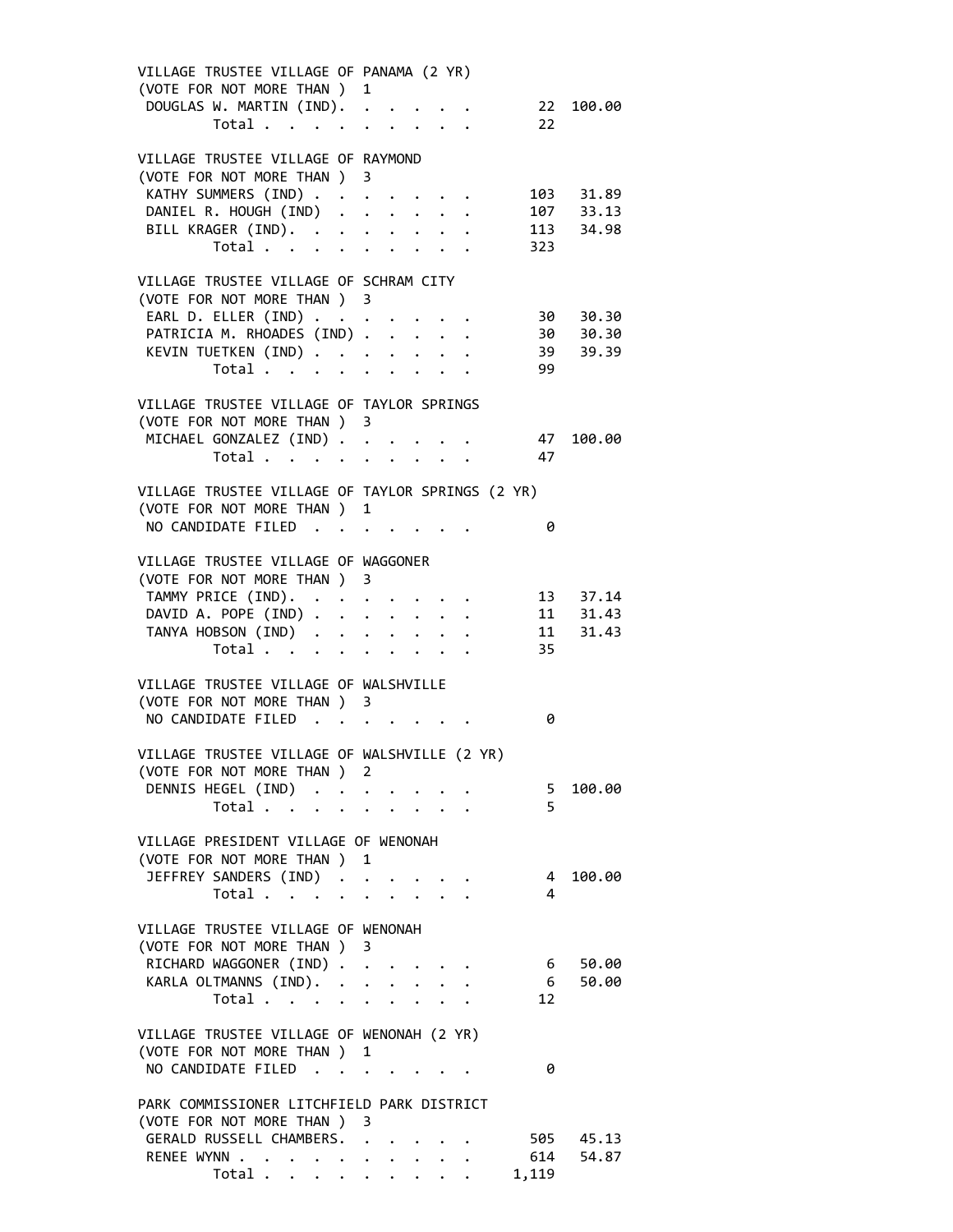| VILLAGE TRUSTEE VILLAGE OF PANAMA (2 YR)                           |  |  |                |                    |
|--------------------------------------------------------------------|--|--|----------------|--------------------|
| (VOTE FOR NOT MORE THAN ) 1<br>DOUGLAS W. MARTIN (IND). 22 100.00  |  |  |                |                    |
| Total $\cdots$ $\cdots$ $\cdots$ $\cdots$                          |  |  | 22             |                    |
|                                                                    |  |  |                |                    |
| VILLAGE TRUSTEE VILLAGE OF RAYMOND                                 |  |  |                |                    |
| (VOTE FOR NOT MORE THAN ) 3                                        |  |  |                |                    |
| KATHY SUMMERS (IND) 103 31.89                                      |  |  |                |                    |
| DANIEL R. HOUGH (IND) 107 33.13                                    |  |  |                |                    |
| BILL KRAGER (IND).<br>Total                                        |  |  |                | 113 34.98          |
|                                                                    |  |  | 323            |                    |
|                                                                    |  |  |                |                    |
| VILLAGE TRUSTEE VILLAGE OF SCHRAM CITY                             |  |  |                |                    |
| (VOTE FOR NOT MORE THAN ) 3                                        |  |  |                |                    |
| EARL D. ELLER (IND) 30 30.30                                       |  |  |                |                    |
| PATRICIA M. RHOADES (IND) 30 30.30                                 |  |  |                |                    |
| KEVIN TUETKEN (IND)                                                |  |  |                | 39 39.39           |
| Total $\cdots$ $\cdots$ $\cdots$                                   |  |  | 99             |                    |
|                                                                    |  |  |                |                    |
| VILLAGE TRUSTEE VILLAGE OF TAYLOR SPRINGS                          |  |  |                |                    |
| (VOTE FOR NOT MORE THAN ) 3                                        |  |  |                |                    |
| MICHAEL GONZALEZ (IND)                                             |  |  | 47             | 100.00             |
| Total $\cdots$ $\cdots$ $\cdots$                                   |  |  | 47             |                    |
|                                                                    |  |  |                |                    |
| VILLAGE TRUSTEE VILLAGE OF TAYLOR SPRINGS (2 YR)                   |  |  |                |                    |
| (VOTE FOR NOT MORE THAN ) 1                                        |  |  |                |                    |
| NO CANDIDATE FILED                                                 |  |  | 0              |                    |
|                                                                    |  |  |                |                    |
| VILLAGE TRUSTEE VILLAGE OF WAGGONER<br>(VOTE FOR NOT MORE THAN ) 3 |  |  |                |                    |
| TAMMY PRICE (IND).                                                 |  |  |                | 13 37.14           |
| DAVID A. POPE (IND)                                                |  |  |                |                    |
| TANYA HOBSON (IND)                                                 |  |  | 11             | 11 31.43<br>31.43  |
| Total $\cdots$ $\cdots$ $\cdots$                                   |  |  | 35             |                    |
|                                                                    |  |  |                |                    |
| VILLAGE TRUSTEE VILLAGE OF WALSHVILLE                              |  |  |                |                    |
| (VOTE FOR NOT MORE THAN ) 3                                        |  |  |                |                    |
| NO CANDIDATE FILED                                                 |  |  | 0              |                    |
|                                                                    |  |  |                |                    |
| VILLAGE TRUSTEE VILLAGE OF WALSHVILLE (2 YR)                       |  |  |                |                    |
| (VOTE FOR NOT MORE THAN ) 2                                        |  |  |                |                    |
| DENNIS HEGEL (IND)                                                 |  |  |                | 5 100.00           |
| Total                                                              |  |  | 5              |                    |
|                                                                    |  |  |                |                    |
| VILLAGE PRESIDENT VILLAGE OF WENONAH                               |  |  |                |                    |
| (VOTE FOR NOT MORE THAN ) 1                                        |  |  |                |                    |
| JEFFREY SANDERS (IND)                                              |  |  | $\overline{4}$ | 100.00             |
| Total                                                              |  |  | 4              |                    |
|                                                                    |  |  |                |                    |
| VILLAGE TRUSTEE VILLAGE OF WENONAH                                 |  |  |                |                    |
| (VOTE FOR NOT MORE THAN ) 3                                        |  |  |                |                    |
| RICHARD WAGGONER (IND)                                             |  |  | 6              | 50.00              |
| KARLA OLTMANNS (IND).                                              |  |  | 6              | 50.00              |
| Total $\cdots$ $\cdots$ $\cdots$                                   |  |  | 12             |                    |
|                                                                    |  |  |                |                    |
| VILLAGE TRUSTEE VILLAGE OF WENONAH (2 YR)                          |  |  |                |                    |
| (VOTE FOR NOT MORE THAN ) 1                                        |  |  |                |                    |
| NO CANDIDATE FILED                                                 |  |  | 0              |                    |
|                                                                    |  |  |                |                    |
| PARK COMMISSIONER LITCHFIELD PARK DISTRICT                         |  |  |                |                    |
| (VOTE FOR NOT MORE THAN ) 3                                        |  |  |                |                    |
| GERALD RUSSELL CHAMBERS.                                           |  |  | 614            | 505 45.13<br>54.87 |
| RENEE WYNN<br>Total $\qquad$                                       |  |  | 1,119          |                    |
|                                                                    |  |  |                |                    |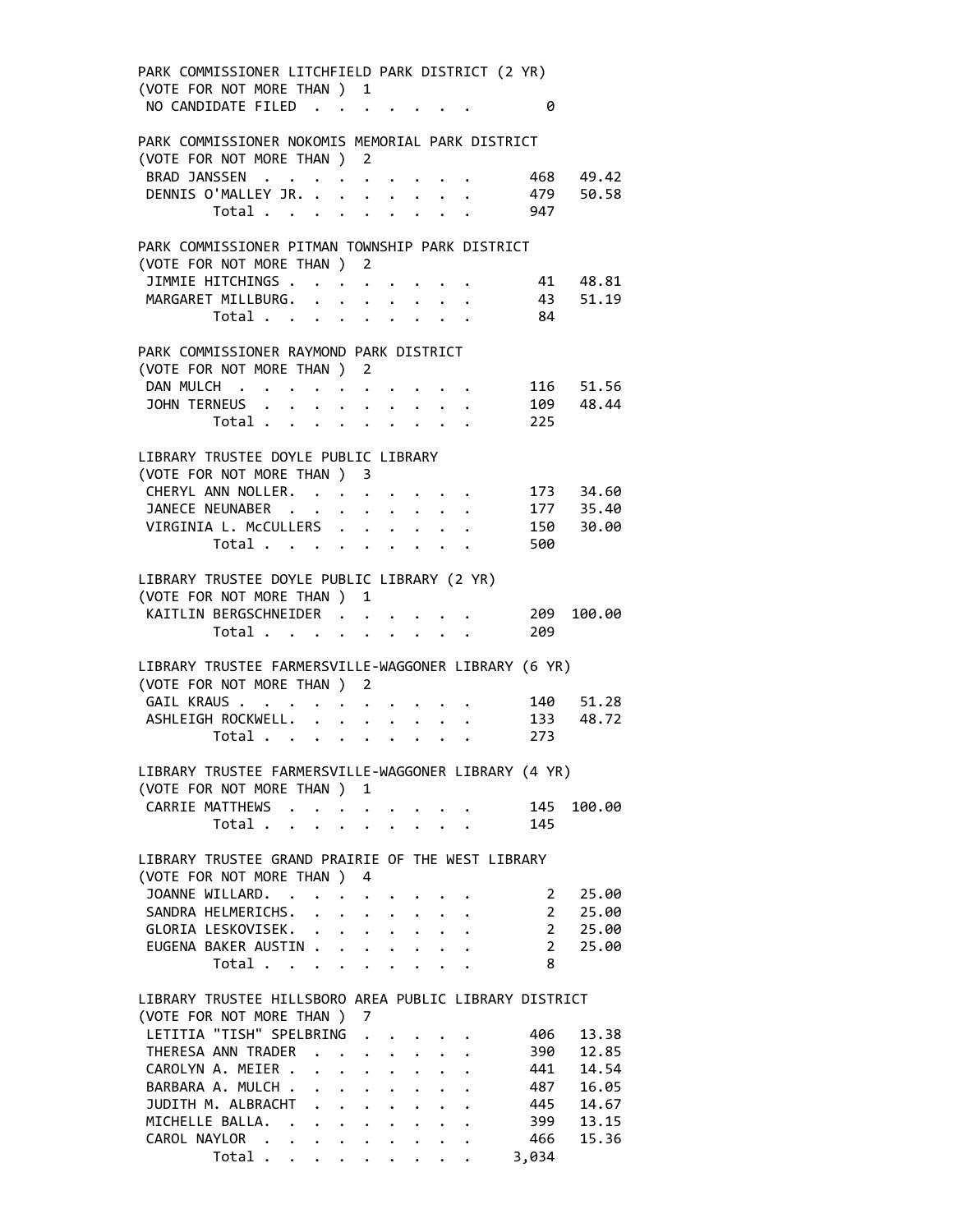| PARK COMMISSIONER LITCHFIELD PARK DISTRICT (2 YR)      |  |                      |                      |                                                                          |                                     |
|--------------------------------------------------------|--|----------------------|----------------------|--------------------------------------------------------------------------|-------------------------------------|
| (VOTE FOR NOT MORE THAN ) 1                            |  |                      |                      |                                                                          |                                     |
| NO CANDIDATE FILED                                     |  |                      |                      | 0                                                                        |                                     |
|                                                        |  |                      |                      |                                                                          |                                     |
| PARK COMMISSIONER NOKOMIS MEMORIAL PARK DISTRICT       |  |                      |                      |                                                                          |                                     |
| (VOTE FOR NOT MORE THAN ) 2                            |  |                      |                      |                                                                          |                                     |
| BRAD JANSSEN 468 49.42                                 |  |                      |                      |                                                                          |                                     |
| DENNIS O'MALLEY JR. 479                                |  |                      |                      |                                                                          | 50.58                               |
| Total $\cdots$ $\cdots$ $\cdots$                       |  |                      |                      | 947                                                                      |                                     |
|                                                        |  |                      |                      |                                                                          |                                     |
| PARK COMMISSIONER PITMAN TOWNSHIP PARK DISTRICT        |  |                      |                      |                                                                          |                                     |
| (VOTE FOR NOT MORE THAN ) 2                            |  |                      |                      |                                                                          |                                     |
| JIMMIE HITCHINGS                                       |  |                      |                      | 41 48.81                                                                 |                                     |
| MARGARET MILLBURG.                                     |  |                      |                      |                                                                          | 43 51.19                            |
|                                                        |  |                      |                      | Total 84                                                                 |                                     |
|                                                        |  |                      |                      |                                                                          |                                     |
| PARK COMMISSIONER RAYMOND PARK DISTRICT                |  |                      |                      |                                                                          |                                     |
| (VOTE FOR NOT MORE THAN ) 2                            |  |                      |                      |                                                                          |                                     |
| DAN MULCH<br>JOHN TERNEUS                              |  |                      |                      | $\mathbf{r}$ , $\mathbf{r}$ , $\mathbf{r}$ , $\mathbf{r}$ , $\mathbf{r}$ | 116 51.56<br>109 48.44              |
| Total $\cdot$                                          |  |                      |                      | 225                                                                      |                                     |
|                                                        |  |                      |                      |                                                                          |                                     |
|                                                        |  |                      |                      |                                                                          |                                     |
| LIBRARY TRUSTEE DOYLE PUBLIC LIBRARY                   |  |                      |                      |                                                                          |                                     |
| (VOTE FOR NOT MORE THAN ) 3                            |  |                      |                      |                                                                          |                                     |
| CHERYL ANN NOLLER.                                     |  |                      |                      |                                                                          |                                     |
| JANECE NEUNABER<br>VIRGINIA L. McCULLERS               |  |                      |                      |                                                                          | 173 34.60<br>177 35.40<br>150 30.00 |
|                                                        |  | $\ddot{\phantom{0}}$ | $\ddot{\phantom{1}}$ |                                                                          |                                     |
| Total                                                  |  |                      |                      | 500                                                                      |                                     |
|                                                        |  |                      |                      |                                                                          |                                     |
| LIBRARY TRUSTEE DOYLE PUBLIC LIBRARY (2 YR)            |  |                      |                      |                                                                          |                                     |
| (VOTE FOR NOT MORE THAN ) 1                            |  |                      |                      |                                                                          |                                     |
| KAITLIN BERGSCHNEIDER 209 100.00                       |  |                      |                      |                                                                          |                                     |
|                                                        |  |                      |                      | Total 209                                                                |                                     |
| LIBRARY TRUSTEE FARMERSVILLE-WAGGONER LIBRARY (6 YR)   |  |                      |                      |                                                                          |                                     |
| (VOTE FOR NOT MORE THAN ) 2                            |  |                      |                      |                                                                          |                                     |
| GAIL KRAUS 140 51.28                                   |  |                      |                      |                                                                          |                                     |
| ASHLEIGH ROCKWELL. 133                                 |  |                      |                      |                                                                          | 48.72                               |
|                                                        |  |                      |                      | Total 273                                                                |                                     |
|                                                        |  |                      |                      |                                                                          |                                     |
| LIBRARY TRUSTEE FARMERSVILLE-WAGGONER LIBRARY (4 YR)   |  |                      |                      |                                                                          |                                     |
| (VOTE FOR NOT MORE THAN ) 1                            |  |                      |                      |                                                                          |                                     |
| CARRIE MATTHEWS                                        |  |                      |                      | 145                                                                      | 100.00                              |
| Total                                                  |  |                      |                      | 145                                                                      |                                     |
|                                                        |  |                      |                      |                                                                          |                                     |
| LIBRARY TRUSTEE GRAND PRAIRIE OF THE WEST LIBRARY      |  |                      |                      |                                                                          |                                     |
| (VOTE FOR NOT MORE THAN ) 4                            |  |                      |                      |                                                                          |                                     |
| JOANNE WILLARD.                                        |  |                      |                      | $\mathbf{2}$                                                             | 25.00                               |
| SANDRA HELMERICHS.                                     |  |                      |                      |                                                                          | 25.00                               |
| GLORIA LESKOVISEK.                                     |  |                      |                      | $\frac{2}{2}$                                                            | 25.00                               |
| EUGENA BAKER AUSTIN                                    |  |                      |                      | $2^{\circ}$                                                              | 25.00                               |
| Total                                                  |  |                      |                      | 8                                                                        |                                     |
|                                                        |  |                      |                      |                                                                          |                                     |
| LIBRARY TRUSTEE HILLSBORO AREA PUBLIC LIBRARY DISTRICT |  |                      |                      |                                                                          |                                     |
| (VOTE FOR NOT MORE THAN ) 7                            |  |                      |                      |                                                                          |                                     |
| LETITIA "TISH" SPELBRING                               |  |                      |                      | 406                                                                      | 13.38                               |
| THERESA ANN TRADER                                     |  |                      |                      | 390                                                                      | 12.85                               |
| CAROLYN A. MEIER                                       |  |                      |                      | 441                                                                      | 14.54                               |
| BARBARA A. MULCH                                       |  |                      |                      | 487                                                                      | 16.05                               |
| JUDITH M. ALBRACHT                                     |  |                      |                      | 445                                                                      | 14.67                               |
| MICHELLE BALLA.                                        |  |                      |                      | 399                                                                      | 13.15                               |
| CAROL NAYLOR                                           |  |                      |                      | 466                                                                      | 15.36                               |
| Total $\cdots$ $\cdots$ $\cdots$ $\cdots$              |  |                      |                      | 3,034                                                                    |                                     |
|                                                        |  |                      |                      |                                                                          |                                     |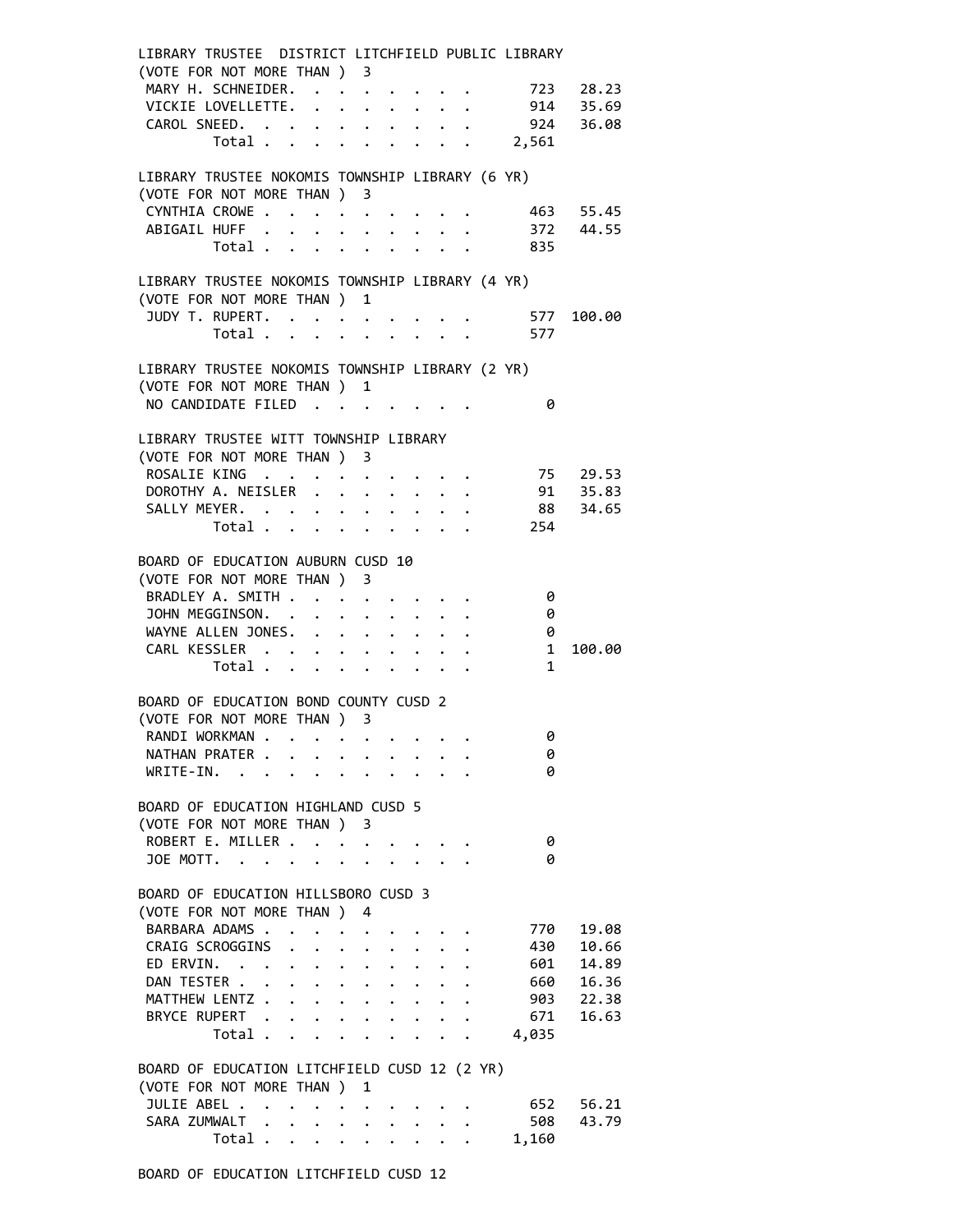| LIBRARY TRUSTEE DISTRICT LITCHFIELD PUBLIC LIBRARY |                                  |                                          |                                                                     |   |                      |  |  |                         |           |
|----------------------------------------------------|----------------------------------|------------------------------------------|---------------------------------------------------------------------|---|----------------------|--|--|-------------------------|-----------|
| (VOTE FOR NOT MORE THAN ) 3                        |                                  |                                          |                                                                     |   |                      |  |  |                         |           |
| MARY H. SCHNEIDER. 723 28.23                       |                                  |                                          |                                                                     |   |                      |  |  |                         |           |
| VICKIE LOVELLETTE.                                 |                                  |                                          |                                                                     |   |                      |  |  |                         | 914 35.69 |
| CAROL SNEED. 924                                   |                                  |                                          |                                                                     |   |                      |  |  |                         | 36.08     |
|                                                    |                                  |                                          |                                                                     |   |                      |  |  | Total 2,561             |           |
|                                                    |                                  |                                          |                                                                     |   |                      |  |  |                         |           |
| LIBRARY TRUSTEE NOKOMIS TOWNSHIP LIBRARY (6 YR)    |                                  |                                          |                                                                     |   |                      |  |  |                         |           |
| (VOTE FOR NOT MORE THAN ) 3                        |                                  |                                          |                                                                     |   |                      |  |  |                         |           |
| CYNTHIA CROWE 463 55.45                            |                                  |                                          |                                                                     |   |                      |  |  |                         |           |
| ABIGAIL HUFF                                       |                                  |                                          |                                                                     |   |                      |  |  |                         | 372 44.55 |
|                                                    |                                  |                                          |                                                                     |   |                      |  |  | Total 835               |           |
|                                                    |                                  |                                          |                                                                     |   |                      |  |  |                         |           |
| LIBRARY TRUSTEE NOKOMIS TOWNSHIP LIBRARY (4 YR)    |                                  |                                          |                                                                     |   |                      |  |  |                         |           |
| (VOTE FOR NOT MORE THAN ) 1                        |                                  |                                          |                                                                     |   |                      |  |  |                         |           |
| JUDY T. RUPERT.                                    |                                  |                                          |                                                                     |   |                      |  |  | 577                     | 100.00    |
|                                                    | Total $\cdots$ $\cdots$ $\cdots$ |                                          |                                                                     |   |                      |  |  | 577                     |           |
|                                                    |                                  |                                          |                                                                     |   |                      |  |  |                         |           |
| LIBRARY TRUSTEE NOKOMIS TOWNSHIP LIBRARY (2 YR)    |                                  |                                          |                                                                     |   |                      |  |  |                         |           |
| (VOTE FOR NOT MORE THAN ) 1                        |                                  |                                          |                                                                     |   |                      |  |  |                         |           |
| NO CANDIDATE FILED                                 |                                  |                                          |                                                                     |   |                      |  |  | 0                       |           |
|                                                    |                                  |                                          |                                                                     |   |                      |  |  |                         |           |
| LIBRARY TRUSTEE WITT TOWNSHIP LIBRARY              |                                  |                                          |                                                                     |   |                      |  |  |                         |           |
| (VOTE FOR NOT MORE THAN ) 3                        |                                  |                                          |                                                                     |   |                      |  |  |                         |           |
| ROSALIE KING                                       |                                  |                                          |                                                                     |   |                      |  |  | 75                      | 29.53     |
| DOROTHY A. NEISLER                                 |                                  |                                          |                                                                     |   |                      |  |  |                         | 91 35.83  |
| SALLY MEYER.                                       |                                  |                                          |                                                                     |   |                      |  |  |                         | 88 34.65  |
|                                                    |                                  |                                          |                                                                     |   |                      |  |  | Total 254               |           |
|                                                    |                                  |                                          |                                                                     |   |                      |  |  |                         |           |
| BOARD OF EDUCATION AUBURN CUSD 10                  |                                  |                                          |                                                                     |   |                      |  |  |                         |           |
| (VOTE FOR NOT MORE THAN ) 3                        |                                  |                                          |                                                                     |   |                      |  |  |                         |           |
| BRADLEY A. SMITH                                   |                                  |                                          |                                                                     |   |                      |  |  | 0                       |           |
| JOHN MEGGINSON.                                    |                                  |                                          |                                                                     |   |                      |  |  | 0                       |           |
| WAYNE ALLEN JONES.                                 |                                  |                                          |                                                                     |   |                      |  |  | 0                       |           |
| CARL KESSLER                                       |                                  |                                          |                                                                     |   |                      |  |  | $\overline{\mathbf{1}}$ | 100.00    |
|                                                    | Total                            |                                          |                                                                     |   |                      |  |  | $\mathbf{1}$            |           |
|                                                    |                                  |                                          |                                                                     |   |                      |  |  |                         |           |
| BOARD OF EDUCATION BOND COUNTY CUSD 2              |                                  |                                          |                                                                     |   |                      |  |  |                         |           |
| (VOTE FOR NOT MORE THAN ) 3                        |                                  |                                          |                                                                     |   |                      |  |  |                         |           |
|                                                    |                                  |                                          |                                                                     |   |                      |  |  | 0                       |           |
| RANDI WORKMAN<br>NATHAN PRATER.                    |                                  |                                          |                                                                     |   |                      |  |  |                         |           |
| WRITE-IN.                                          |                                  |                                          |                                                                     |   |                      |  |  | 0<br>0                  |           |
|                                                    | $\sim$                           |                                          |                                                                     |   |                      |  |  |                         |           |
| BOARD OF EDUCATION HIGHLAND CUSD 5                 |                                  |                                          |                                                                     |   |                      |  |  |                         |           |
| (VOTE FOR NOT MORE THAN)                           |                                  |                                          |                                                                     | 3 |                      |  |  |                         |           |
|                                                    |                                  |                                          |                                                                     |   |                      |  |  |                         |           |
| ROBERT E. MILLER                                   |                                  |                                          |                                                                     |   | $\sim$ $\sim$ $\sim$ |  |  | 0                       |           |
| JOE MOTT.                                          | $\sim$                           |                                          |                                                                     |   |                      |  |  | 0                       |           |
|                                                    |                                  |                                          |                                                                     |   |                      |  |  |                         |           |
| BOARD OF EDUCATION HILLSBORO CUSD 3                |                                  |                                          |                                                                     |   |                      |  |  |                         |           |
| (VOTE FOR NOT MORE THAN)                           |                                  |                                          |                                                                     | 4 |                      |  |  |                         |           |
| BARBARA ADAMS.                                     |                                  |                                          | $\bullet$ .<br><br><br><br><br><br><br><br><br><br><br><br><br><br> |   |                      |  |  | 770                     | 19.08     |
| CRAIG SCROGGINS                                    |                                  |                                          |                                                                     |   |                      |  |  | 430                     | 10.66     |
| ED ERVIN.                                          |                                  | $\bullet$                                | $\bullet$ .<br><br><br><br><br><br><br><br><br><br><br><br><br>     |   |                      |  |  | 601                     | 14.89     |
| DAN TESTER                                         |                                  | $\mathbf{r} = \mathbf{r} + \mathbf{r}$ . |                                                                     |   |                      |  |  | 660                     | 16.36     |
| MATTHEW LENTZ                                      |                                  |                                          | $\ddot{\phantom{1}}$                                                |   |                      |  |  | 903                     | 22.38     |
| BRYCE RUPERT.                                      |                                  |                                          | $\ddot{\phantom{a}}$                                                |   |                      |  |  | 671                     | 16.63     |
|                                                    | Total .                          |                                          |                                                                     |   |                      |  |  | 4,035                   |           |
|                                                    |                                  |                                          |                                                                     |   |                      |  |  |                         |           |
| BOARD OF EDUCATION LITCHFIELD CUSD 12 (2 YR)       |                                  |                                          |                                                                     |   |                      |  |  |                         |           |
| (VOTE FOR NOT MORE THAN)                           |                                  |                                          |                                                                     | 1 |                      |  |  |                         |           |
| JULIE ABEL                                         |                                  |                                          |                                                                     |   |                      |  |  | 652                     | 56.21     |
| SARA ZUMWALT                                       |                                  |                                          |                                                                     |   |                      |  |  | 508                     | 43.79     |
|                                                    | Total $\cdots$ $\cdots$ $\cdots$ |                                          |                                                                     |   |                      |  |  | 1,160                   |           |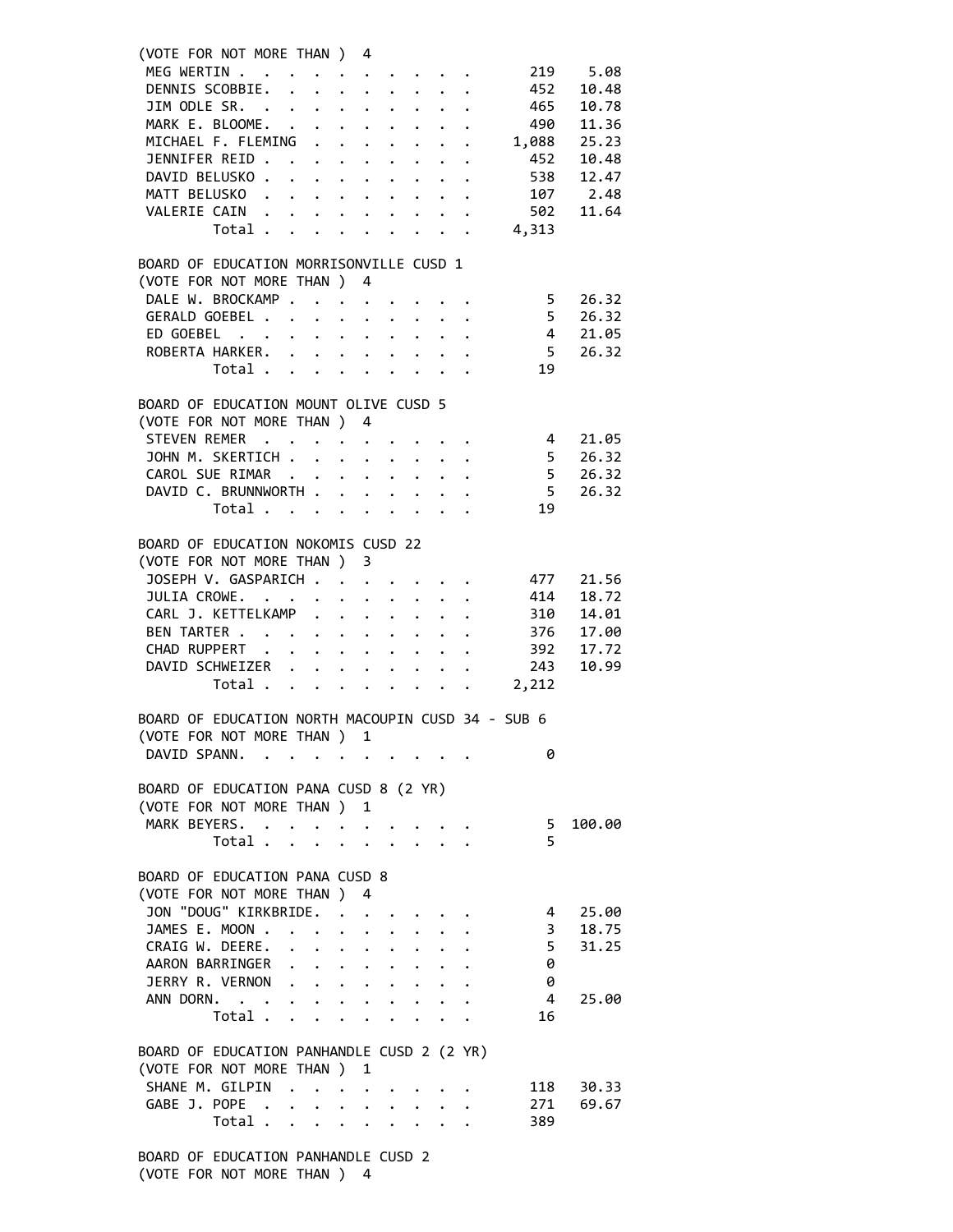|  | (VOTE FOR NOT MORE THAN ) 4                         |  |                      |                 |  |                          |          |  |
|--|-----------------------------------------------------|--|----------------------|-----------------|--|--------------------------|----------|--|
|  | MEG WERTIN<br>DENNIS SCOBBIE.                       |  |                      |                 |  |                          | 219 5.08 |  |
|  |                                                     |  |                      |                 |  | 452                      | 10.48    |  |
|  | JIM ODLE SR. 465                                    |  |                      |                 |  |                          | 10.78    |  |
|  | MARK E. BLOOME. 490                                 |  |                      |                 |  |                          | 11.36    |  |
|  | MICHAEL F. FLEMING 1,088                            |  |                      |                 |  |                          | 25.23    |  |
|  | JENNIFER REID                                       |  |                      |                 |  | 452                      | 10.48    |  |
|  | DAVID BELUSKO                                       |  |                      |                 |  | 538                      | 12.47    |  |
|  |                                                     |  |                      |                 |  |                          |          |  |
|  |                                                     |  |                      |                 |  |                          |          |  |
|  | MATT BELUSKO 107<br>VALERIE CAIN 502<br>Total 4,313 |  |                      |                 |  |                          |          |  |
|  |                                                     |  |                      |                 |  |                          |          |  |
|  | BOARD OF EDUCATION MORRISONVILLE CUSD 1             |  |                      |                 |  |                          |          |  |
|  | (VOTE FOR NOT MORE THAN ) 4                         |  |                      |                 |  |                          |          |  |
|  | DALE W. BROCKAMP 5                                  |  |                      |                 |  |                          | 26.32    |  |
|  | GERALD GOEBEL                                       |  |                      |                 |  | 5 <sub>5</sub>           | 26.32    |  |
|  | ED GOEBEL                                           |  |                      |                 |  | $\overline{4}$           | 21.05    |  |
|  | ROBERTA HARKER.                                     |  |                      |                 |  | $\overline{5}$           | 26.32    |  |
|  | Total                                               |  |                      |                 |  | 19                       |          |  |
|  |                                                     |  |                      |                 |  |                          |          |  |
|  | BOARD OF EDUCATION MOUNT OLIVE CUSD 5               |  |                      |                 |  |                          |          |  |
|  | (VOTE FOR NOT MORE THAN ) 4                         |  |                      |                 |  |                          |          |  |
|  | STEVEN REMER 4                                      |  |                      |                 |  |                          | 21.05    |  |
|  | JOHN M. SKERTICH                                    |  |                      |                 |  | $\overline{\phantom{0}}$ | 26.32    |  |
|  | CAROL SUE RIMAR                                     |  |                      |                 |  |                          | 26.32    |  |
|  | DAVID C. BRUNNWORTH                                 |  |                      |                 |  | $\frac{5}{5}$            | 26.32    |  |
|  | Total $\cdots$ $\cdots$ $\cdots$                    |  |                      |                 |  | 19                       |          |  |
|  |                                                     |  |                      |                 |  |                          |          |  |
|  | BOARD OF EDUCATION NOKOMIS CUSD 22                  |  |                      |                 |  |                          |          |  |
|  | (VOTE FOR NOT MORE THAN ) 3                         |  |                      |                 |  |                          |          |  |
|  | JOSEPH V. GASPARICH                                 |  |                      |                 |  | 477                      | 21.56    |  |
|  | JULIA CROWE.                                        |  |                      |                 |  |                          | 18.72    |  |
|  | CARL J. KETTELKAMP                                  |  |                      |                 |  | 414<br>310<br>376        | 14.01    |  |
|  | BEN TARTER                                          |  |                      |                 |  |                          | 17.00    |  |
|  | CHAD RUPPERT                                        |  |                      |                 |  | 392                      | 17.72    |  |
|  | DAVID SCHWEIZER                                     |  |                      |                 |  | 243                      | 10.99    |  |
|  | Total 2,212                                         |  |                      |                 |  |                          |          |  |
|  |                                                     |  |                      |                 |  |                          |          |  |
|  | BOARD OF EDUCATION NORTH MACOUPIN CUSD 34 - SUB 6   |  |                      |                 |  |                          |          |  |
|  | (VOTE FOR NOT MORE THAN ) 1                         |  |                      |                 |  |                          |          |  |
|  | DAVID SPANN.                                        |  |                      |                 |  | 0                        |          |  |
|  |                                                     |  |                      |                 |  |                          |          |  |
|  | BOARD OF EDUCATION PANA CUSD 8 (2 YR)               |  |                      |                 |  |                          |          |  |
|  | (VOTE FOR NOT MORE THAN ) 1                         |  |                      |                 |  |                          |          |  |
|  | MARK BEYERS.                                        |  |                      |                 |  | 5                        | 100.00   |  |
|  | Total $\cdots$ $\cdots$ $\cdots$ $\cdots$           |  |                      |                 |  | 5                        |          |  |
|  |                                                     |  |                      |                 |  |                          |          |  |
|  | BOARD OF EDUCATION PANA CUSD 8                      |  |                      |                 |  |                          |          |  |
|  | (VOTE FOR NOT MORE THAN ) 4                         |  |                      |                 |  |                          |          |  |
|  | JON "DOUG" KIRKBRIDE.                               |  |                      |                 |  | 4                        | 25.00    |  |
|  | JAMES E. MOON                                       |  | $\ddot{\phantom{a}}$ | $\cdot$ $\cdot$ |  | $\overline{\mathbf{3}}$  | 18.75    |  |
|  | CRAIG W. DEERE.                                     |  |                      |                 |  | 5 <sub>5</sub>           | 31.25    |  |
|  | AARON BARRINGER                                     |  |                      |                 |  | 0                        |          |  |
|  | JERRY R. VERNON                                     |  |                      |                 |  | - 0                      |          |  |
|  | ANN DORN.                                           |  |                      |                 |  | $\overline{4}$           | 25.00    |  |
|  | Total $\cdots$ $\cdots$ $\cdots$                    |  |                      |                 |  | 16                       |          |  |
|  |                                                     |  |                      |                 |  |                          |          |  |
|  | BOARD OF EDUCATION PANHANDLE CUSD 2 (2 YR)          |  |                      |                 |  |                          |          |  |
|  | (VOTE FOR NOT MORE THAN ) 1                         |  |                      |                 |  |                          |          |  |
|  | SHANE M. GILPIN                                     |  |                      |                 |  | 118                      | 30.33    |  |
|  | GABE J. POPE                                        |  |                      |                 |  | 271                      | 69.67    |  |
|  | Total $\cdots$ $\cdots$ $\cdots$                    |  |                      |                 |  | 389                      |          |  |
|  |                                                     |  |                      |                 |  |                          |          |  |
|  |                                                     |  |                      |                 |  |                          |          |  |

 BOARD OF EDUCATION PANHANDLE CUSD 2 (VOTE FOR NOT MORE THAN ) 4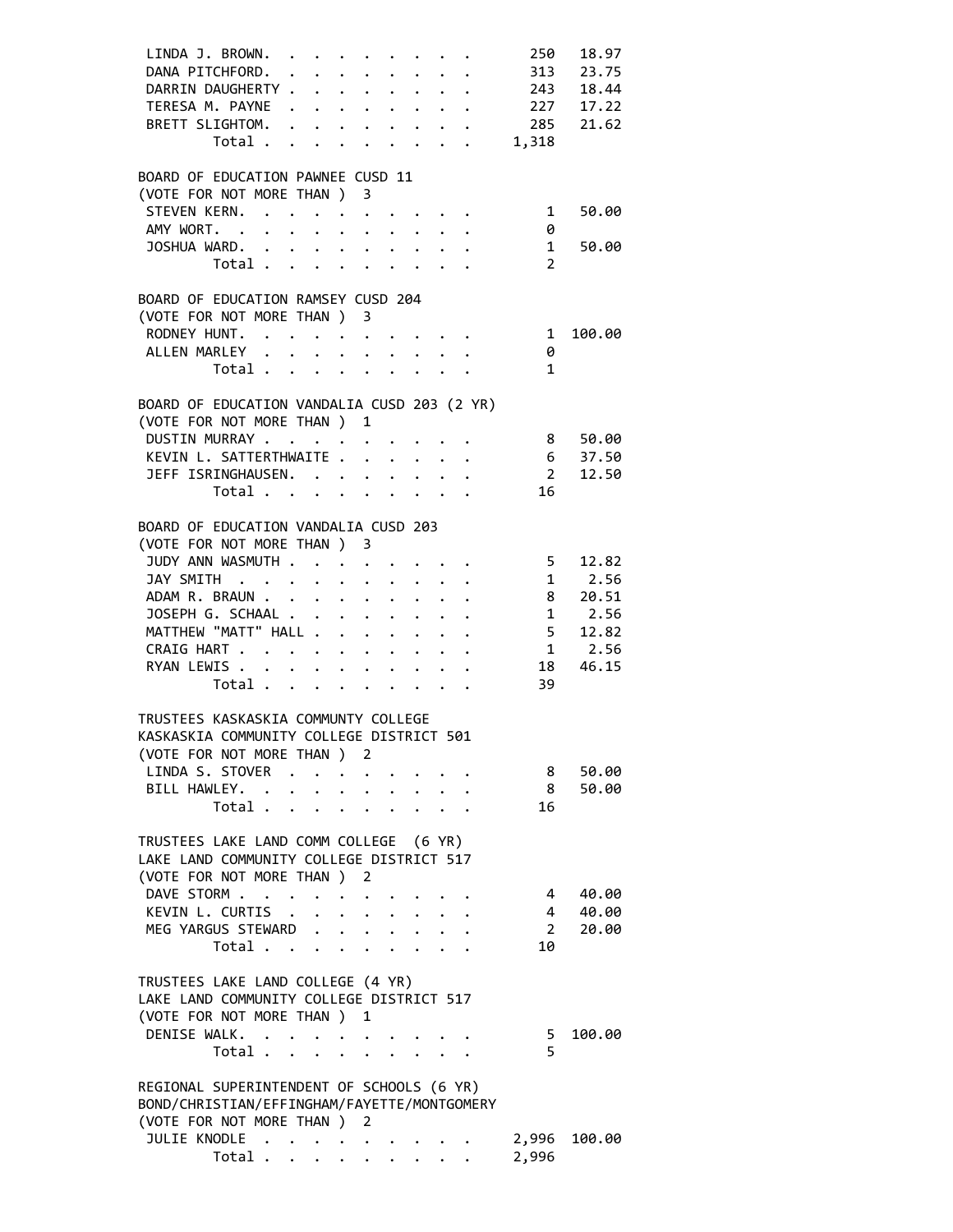| LINDA J. BROWN.                                                                                                            |              |                      |                                                                  |              | 250                     | 18.97              |
|----------------------------------------------------------------------------------------------------------------------------|--------------|----------------------|------------------------------------------------------------------|--------------|-------------------------|--------------------|
| DANA PITCHFORD.                                                                                                            |              |                      |                                                                  |              |                         | 313 23.75          |
| DARRIN DAUGHERTY 243 18.44                                                                                                 |              |                      |                                                                  |              |                         |                    |
| TERESA M. PAYNE 227 17.22                                                                                                  |              |                      |                                                                  |              |                         |                    |
| BRETT SLIGHTOM. 285 21.62                                                                                                  |              |                      |                                                                  |              |                         |                    |
| Total 1,318                                                                                                                |              |                      |                                                                  |              |                         |                    |
|                                                                                                                            |              |                      |                                                                  |              |                         |                    |
| BOARD OF EDUCATION PAWNEE CUSD 11                                                                                          |              |                      |                                                                  |              |                         |                    |
| (VOTE FOR NOT MORE THAN ) 3                                                                                                |              |                      |                                                                  |              |                         |                    |
| STEVEN KERN. 1                                                                                                             |              |                      |                                                                  |              |                         |                    |
|                                                                                                                            |              |                      |                                                                  |              |                         | 50.00              |
| AMY WORT.                                                                                                                  |              |                      |                                                                  |              | 0                       |                    |
| JOSHUA WARD.                                                                                                               |              |                      |                                                                  |              | 1                       | 50.00              |
| Total $\cdots$ $\cdots$ $\cdots$                                                                                           |              |                      |                                                                  |              | 2                       |                    |
|                                                                                                                            |              |                      |                                                                  |              |                         |                    |
| BOARD OF EDUCATION RAMSEY CUSD 204                                                                                         |              |                      |                                                                  |              |                         |                    |
| (VOTE FOR NOT MORE THAN ) 3                                                                                                |              |                      |                                                                  |              |                         |                    |
| RODNEY HUNT.                                                                                                               |              |                      |                                                                  |              | $\overline{\mathbf{1}}$ | 100.00             |
| ALLEN MARLEY                                                                                                               |              |                      |                                                                  |              | 0                       |                    |
| Total                                                                                                                      |              |                      |                                                                  |              | $\mathbf{1}$            |                    |
|                                                                                                                            |              |                      |                                                                  |              |                         |                    |
| BOARD OF EDUCATION VANDALIA CUSD 203 (2 YR)                                                                                |              |                      |                                                                  |              |                         |                    |
| (VOTE FOR NOT MORE THAN ) 1                                                                                                |              |                      |                                                                  |              |                         |                    |
| DUSTIN MURRAY                                                                                                              |              |                      |                                                                  |              |                         | 8 50.00            |
| KEVIN L. SATTERTHWAITE                                                                                                     |              |                      |                                                                  |              |                         |                    |
|                                                                                                                            |              |                      |                                                                  |              |                         | 6 37.50<br>2 12.50 |
| JEFF ISRINGHAUSEN.<br>Total                                                                                                |              |                      |                                                                  |              | 16                      |                    |
|                                                                                                                            |              |                      |                                                                  |              |                         |                    |
|                                                                                                                            |              |                      |                                                                  |              |                         |                    |
| BOARD OF EDUCATION VANDALIA CUSD 203                                                                                       |              |                      |                                                                  |              |                         |                    |
| (VOTE FOR NOT MORE THAN ) 3                                                                                                |              |                      |                                                                  |              |                         |                    |
| JUDY ANN WASMUTH 5 12.82                                                                                                   |              |                      |                                                                  |              |                         |                    |
| JAY SMITH 1 2.56                                                                                                           |              |                      |                                                                  |              |                         |                    |
|                                                                                                                            |              |                      |                                                                  |              |                         |                    |
|                                                                                                                            |              |                      |                                                                  |              |                         |                    |
| ADAM R. BRAUN 8 20.51<br>JOSEPH G. SCHAAL 1 2.56<br>MATTHEW "MATT" HALL 5 12.82<br>JOSEPH G. SCHAAL<br>MATTHEW "MATT" HALL |              |                      |                                                                  |              |                         |                    |
| CRAIG HART                                                                                                                 |              |                      |                                                                  |              |                         | $1 \quad 2.56$     |
| RYAN LEWIS 18                                                                                                              |              |                      |                                                                  |              |                         | 46.15              |
| Total $\cdots$ $\cdots$ $\cdots$                                                                                           |              |                      |                                                                  |              | 39                      |                    |
|                                                                                                                            |              |                      |                                                                  |              |                         |                    |
| TRUSTEES KASKASKIA COMMUNTY COLLEGE                                                                                        |              |                      |                                                                  |              |                         |                    |
| KASKASKIA COMMUNITY COLLEGE DISTRICT 501                                                                                   |              |                      |                                                                  |              |                         |                    |
|                                                                                                                            |              |                      |                                                                  |              |                         |                    |
| (VOTE FOR NOT MORE THAN ) 2                                                                                                |              |                      |                                                                  |              |                         |                    |
| LINDA S. STOVER                                                                                                            |              |                      | $\mathbf{r} = \mathbf{r} + \mathbf{r} + \mathbf{r} + \mathbf{r}$ |              | 8                       | 50.00              |
| BILL HAWLEY.                                                                                                               |              |                      |                                                                  |              | 8                       | 50.00              |
| Total                                                                                                                      |              | $\ddot{\phantom{0}}$ |                                                                  | $\mathbf{L}$ | 16                      |                    |
|                                                                                                                            |              |                      |                                                                  |              |                         |                    |
| TRUSTEES LAKE LAND COMM COLLEGE (6 YR)                                                                                     |              |                      |                                                                  |              |                         |                    |
| LAKE LAND COMMUNITY COLLEGE DISTRICT 517                                                                                   |              |                      |                                                                  |              |                         |                    |
| (VOTE FOR NOT MORE THAN ) 2                                                                                                |              |                      |                                                                  |              |                         |                    |
| DAVE STORM                                                                                                                 |              |                      |                                                                  |              | 4                       | 40.00              |
| KEVIN L. CURTIS                                                                                                            | $\mathbf{L}$ |                      | $\mathbf{L}^{\text{max}}$ , and $\mathbf{L}^{\text{max}}$        |              | 4                       | 40.00              |
| MEG YARGUS STEWARD                                                                                                         |              |                      |                                                                  |              | $2^{\circ}$             | 20.00              |
| Total                                                                                                                      |              |                      |                                                                  |              | 10                      |                    |
|                                                                                                                            |              |                      |                                                                  |              |                         |                    |
| TRUSTEES LAKE LAND COLLEGE (4 YR)                                                                                          |              |                      |                                                                  |              |                         |                    |
| LAKE LAND COMMUNITY COLLEGE DISTRICT 517                                                                                   |              |                      |                                                                  |              |                         |                    |
|                                                                                                                            |              |                      |                                                                  |              |                         |                    |
|                                                                                                                            |              |                      |                                                                  |              |                         |                    |
| (VOTE FOR NOT MORE THAN ) 1                                                                                                |              |                      |                                                                  |              |                         |                    |
| DENISE WALK.                                                                                                               |              |                      |                                                                  |              | 5                       | 100.00             |
| Total                                                                                                                      |              |                      |                                                                  |              | 5                       |                    |
|                                                                                                                            |              |                      |                                                                  |              |                         |                    |
| REGIONAL SUPERINTENDENT OF SCHOOLS (6 YR)                                                                                  |              |                      |                                                                  |              |                         |                    |
| BOND/CHRISTIAN/EFFINGHAM/FAYETTE/MONTGOMERY                                                                                |              |                      |                                                                  |              |                         |                    |
| (VOTE FOR NOT MORE THAN ) 2                                                                                                |              |                      |                                                                  |              |                         |                    |
| JULIE KNODLE                                                                                                               |              |                      |                                                                  |              | 2,996                   | 100.00             |